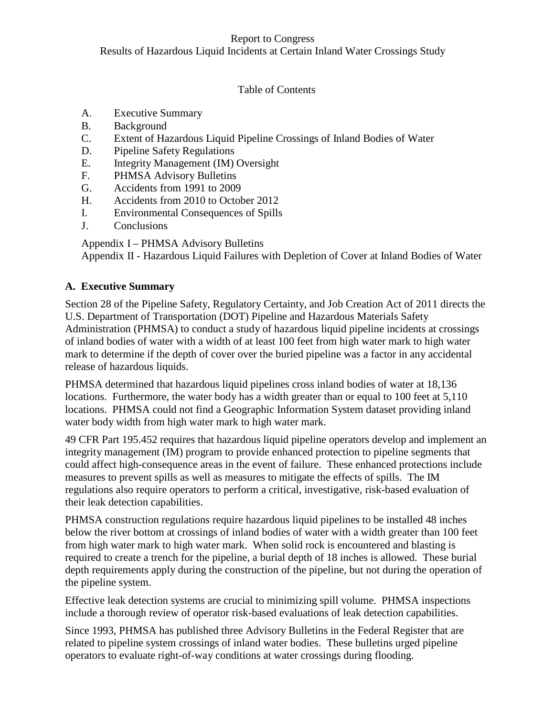Results of Hazardous Liquid Incidents at Certain Inland Water Crossings Study

# Table of Contents

- A. Executive Summary
- B. Background<br>C. Extent of Ha
- Extent of Hazardous Liquid Pipeline Crossings of Inland Bodies of Water
- D. Pipeline Safety Regulations
- E. Integrity Management (IM) Oversight
- F. PHMSA Advisory Bulletins
- G. Accidents from 1991 to 2009
- H. Accidents from 2010 to October 2012
- I. Environmental Consequences of Spills
- J. Conclusions

Appendix I – PHMSA Advisory Bulletins

Appendix II - Hazardous Liquid Failures with Depletion of Cover at Inland Bodies of Water

# **A. Executive Summary**

Section 28 of the Pipeline Safety, Regulatory Certainty, and Job Creation Act of 2011 directs the U.S. Department of Transportation (DOT) Pipeline and Hazardous Materials Safety Administration (PHMSA) to conduct a study of hazardous liquid pipeline incidents at crossings of inland bodies of water with a width of at least 100 feet from high water mark to high water mark to determine if the depth of cover over the buried pipeline was a factor in any accidental release of hazardous liquids.

PHMSA determined that hazardous liquid pipelines cross inland bodies of water at 18,136 locations. Furthermore, the water body has a width greater than or equal to 100 feet at 5,110 locations. PHMSA could not find a Geographic Information System dataset providing inland water body width from high water mark to high water mark.

49 CFR Part 195.452 requires that hazardous liquid pipeline operators develop and implement an integrity management (IM) program to provide enhanced protection to pipeline segments that could affect high-consequence areas in the event of failure. These enhanced protections include measures to prevent spills as well as measures to mitigate the effects of spills. The IM regulations also require operators to perform a critical, investigative, risk-based evaluation of their leak detection capabilities.

PHMSA construction regulations require hazardous liquid pipelines to be installed 48 inches below the river bottom at crossings of inland bodies of water with a width greater than 100 feet from high water mark to high water mark. When solid rock is encountered and blasting is required to create a trench for the pipeline, a burial depth of 18 inches is allowed. These burial depth requirements apply during the construction of the pipeline, but not during the operation of the pipeline system.

Effective leak detection systems are crucial to minimizing spill volume. PHMSA inspections include a thorough review of operator risk-based evaluations of leak detection capabilities.

Since 1993, PHMSA has published three Advisory Bulletins in the Federal Register that are related to pipeline system crossings of inland water bodies. These bulletins urged pipeline operators to evaluate right-of-way conditions at water crossings during flooding.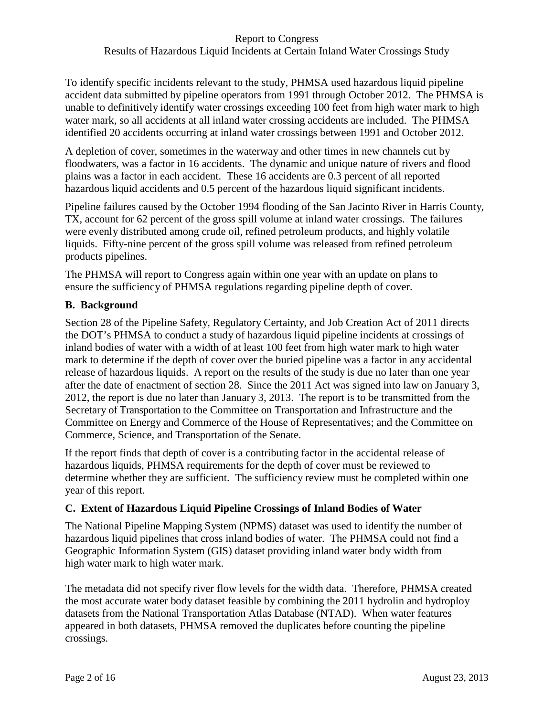To identify specific incidents relevant to the study, PHMSA used hazardous liquid pipeline accident data submitted by pipeline operators from 1991 through October 2012. The PHMSA is unable to definitively identify water crossings exceeding 100 feet from high water mark to high water mark, so all accidents at all inland water crossing accidents are included. The PHMSA identified 20 accidents occurring at inland water crossings between 1991 and October 2012.

A depletion of cover, sometimes in the waterway and other times in new channels cut by floodwaters, was a factor in 16 accidents. The dynamic and unique nature of rivers and flood plains was a factor in each accident. These 16 accidents are 0.3 percent of all reported hazardous liquid accidents and 0.5 percent of the hazardous liquid significant incidents.

Pipeline failures caused by the October 1994 flooding of the San Jacinto River in Harris County, TX, account for 62 percent of the gross spill volume at inland water crossings. The failures were evenly distributed among crude oil, refined petroleum products, and highly volatile liquids. Fifty-nine percent of the gross spill volume was released from refined petroleum products pipelines.

The PHMSA will report to Congress again within one year with an update on plans to ensure the sufficiency of PHMSA regulations regarding pipeline depth of cover.

## **B. Background**

Section 28 of the Pipeline Safety, Regulatory Certainty, and Job Creation Act of 2011 directs the DOT's PHMSA to conduct a study of hazardous liquid pipeline incidents at crossings of inland bodies of water with a width of at least 100 feet from high water mark to high water mark to determine if the depth of cover over the buried pipeline was a factor in any accidental release of hazardous liquids. A report on the results of the study is due no later than one year after the date of enactment of section 28. Since the 2011 Act was signed into law on January 3, 2012, the report is due no later than January 3, 2013. The report is to be transmitted from the Secretary of Transportation to the Committee on Transportation and Infrastructure and the Committee on Energy and Commerce of the House of Representatives; and the Committee on Commerce, Science, and Transportation of the Senate.

If the report finds that depth of cover is a contributing factor in the accidental release of hazardous liquids, PHMSA requirements for the depth of cover must be reviewed to determine whether they are sufficient. The sufficiency review must be completed within one year of this report.

# **C. Extent of Hazardous Liquid Pipeline Crossings of Inland Bodies of Water**

The National Pipeline Mapping System (NPMS) dataset was used to identify the number of hazardous liquid pipelines that cross inland bodies of water. The PHMSA could not find a Geographic Information System (GIS) dataset providing inland water body width from high water mark to high water mark.

The metadata did not specify river flow levels for the width data. Therefore, PHMSA created the most accurate water body dataset feasible by combining the 2011 hydrolin and hydroploy datasets from the National Transportation Atlas Database (NTAD). When water features appeared in both datasets, PHMSA removed the duplicates before counting the pipeline crossings.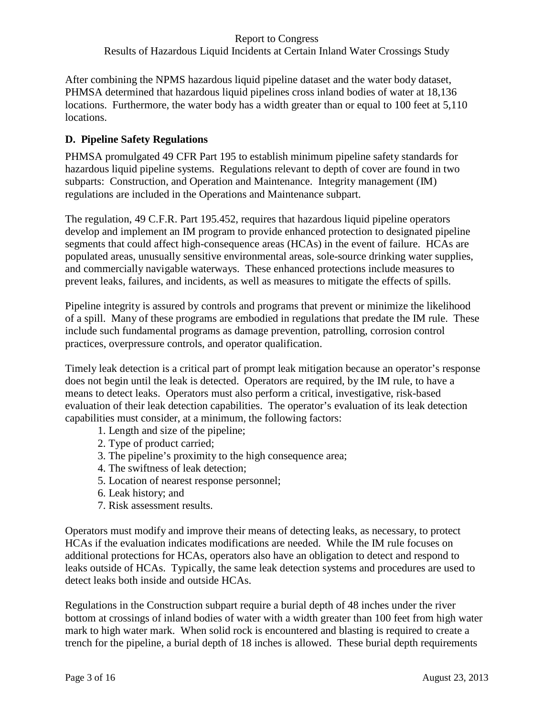After combining the NPMS hazardous liquid pipeline dataset and the water body dataset, PHMSA determined that hazardous liquid pipelines cross inland bodies of water at 18,136 locations. Furthermore, the water body has a width greater than or equal to 100 feet at 5,110 locations.

# **D. Pipeline Safety Regulations**

PHMSA promulgated 49 CFR Part 195 to establish minimum pipeline safety standards for hazardous liquid pipeline systems. Regulations relevant to depth of cover are found in two subparts: Construction, and Operation and Maintenance. Integrity management (IM) regulations are included in the Operations and Maintenance subpart.

The regulation, 49 C.F.R. Part 195.452, requires that hazardous liquid pipeline operators develop and implement an IM program to provide enhanced protection to designated pipeline segments that could affect high-consequence areas (HCAs) in the event of failure. HCAs are populated areas, unusually sensitive environmental areas, sole-source drinking water supplies, and commercially navigable waterways. These enhanced protections include measures to prevent leaks, failures, and incidents, as well as measures to mitigate the effects of spills.

Pipeline integrity is assured by controls and programs that prevent or minimize the likelihood of a spill. Many of these programs are embodied in regulations that predate the IM rule. These include such fundamental programs as damage prevention, patrolling, corrosion control practices, overpressure controls, and operator qualification.

Timely leak detection is a critical part of prompt leak mitigation because an operator's response does not begin until the leak is detected. Operators are required, by the IM rule, to have a means to detect leaks. Operators must also perform a critical, investigative, risk-based evaluation of their leak detection capabilities. The operator's evaluation of its leak detection capabilities must consider, at a minimum, the following factors:

- 1. Length and size of the pipeline;
- 2. Type of product carried;
- 3. The pipeline's proximity to the high consequence area;
- 4. The swiftness of leak detection;
- 5. Location of nearest response personnel;
- 6. Leak history; and
- 7. Risk assessment results.

Operators must modify and improve their means of detecting leaks, as necessary, to protect HCAs if the evaluation indicates modifications are needed. While the IM rule focuses on additional protections for HCAs, operators also have an obligation to detect and respond to leaks outside of HCAs. Typically, the same leak detection systems and procedures are used to detect leaks both inside and outside HCAs.

Regulations in the Construction subpart require a burial depth of 48 inches under the river bottom at crossings of inland bodies of water with a width greater than 100 feet from high water mark to high water mark. When solid rock is encountered and blasting is required to create a trench for the pipeline, a burial depth of 18 inches is allowed. These burial depth requirements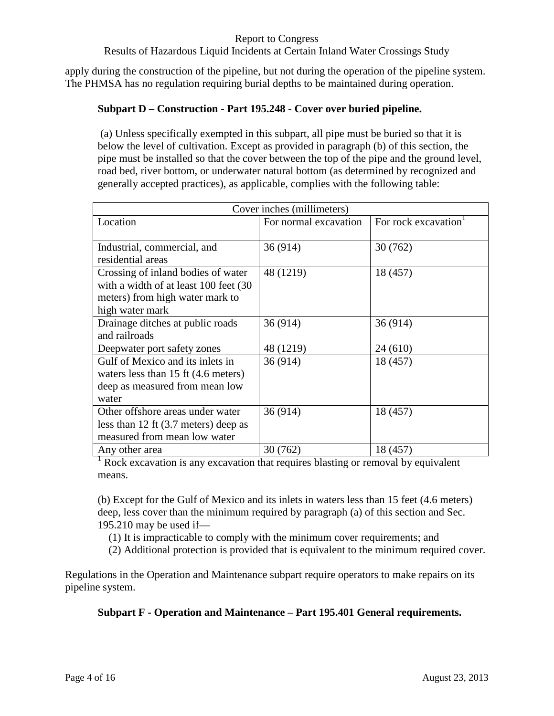#### Results of Hazardous Liquid Incidents at Certain Inland Water Crossings Study

apply during the construction of the pipeline, but not during the operation of the pipeline system. The PHMSA has no regulation requiring burial depths to be maintained during operation.

### **Subpart D – Construction - Part 195.248 - Cover over buried pipeline.**

(a) Unless specifically exempted in this subpart, all pipe must be buried so that it is below the level of cultivation. Except as provided in paragraph (b) of this section, the pipe must be installed so that the cover between the top of the pipe and the ground level, road bed, river bottom, or underwater natural bottom (as determined by recognized and generally accepted practices), as applicable, complies with the following table:

| Cover inches (millimeters)                     |                       |                     |  |  |  |
|------------------------------------------------|-----------------------|---------------------|--|--|--|
| Location                                       | For normal excavation | For rock excavation |  |  |  |
|                                                |                       |                     |  |  |  |
| Industrial, commercial, and                    | 36 (914)              | 30(762)             |  |  |  |
| residential areas                              |                       |                     |  |  |  |
| Crossing of inland bodies of water             | 48 (1219)             | 18 (457)            |  |  |  |
| with a width of at least 100 feet (30)         |                       |                     |  |  |  |
| meters) from high water mark to                |                       |                     |  |  |  |
| high water mark                                |                       |                     |  |  |  |
| Drainage ditches at public roads               | 36 (914)              | 36(914)             |  |  |  |
| and railroads                                  |                       |                     |  |  |  |
| Deepwater port safety zones                    | 48 (1219)             | 24(610)             |  |  |  |
| Gulf of Mexico and its inlets in               | 36 (914)              | 18 (457)            |  |  |  |
| waters less than $15$ ft $(4.6$ meters)        |                       |                     |  |  |  |
| deep as measured from mean low                 |                       |                     |  |  |  |
| water                                          |                       |                     |  |  |  |
| Other offshore areas under water               | 36 (914)              | 18 (457)            |  |  |  |
| less than 12 ft $(3.7 \text{ meters})$ deep as |                       |                     |  |  |  |
| measured from mean low water                   |                       |                     |  |  |  |
| Any other area                                 | 30 (762)              | 18 (457)            |  |  |  |

 $<sup>1</sup>$  Rock excavation is any excavation that requires blasting or removal by equivalent</sup> means.

(b) Except for the Gulf of Mexico and its inlets in waters less than 15 feet (4.6 meters) deep, less cover than the minimum required by paragraph (a) of this section and Sec. 195.210 may be used if—

(1) It is impracticable to comply with the minimum cover requirements; and

(2) Additional protection is provided that is equivalent to the minimum required cover.

Regulations in the Operation and Maintenance subpart require operators to make repairs on its pipeline system.

**Subpart F - Operation and Maintenance – Part 195.401 General requirements.**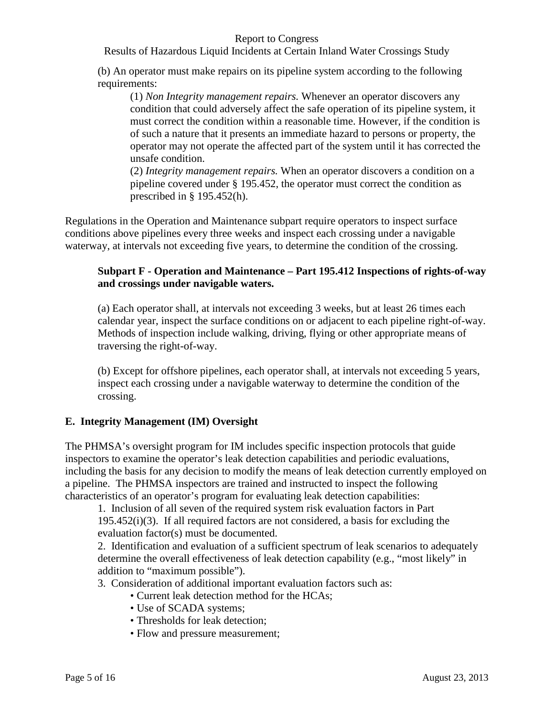Results of Hazardous Liquid Incidents at Certain Inland Water Crossings Study

(b) An operator must make repairs on its pipeline system according to the following requirements:

(1) *Non Integrity management repairs.* Whenever an operator discovers any condition that could adversely affect the safe operation of its pipeline system, it must correct the condition within a reasonable time. However, if the condition is of such a nature that it presents an immediate hazard to persons or property, the operator may not operate the affected part of the system until it has corrected the unsafe condition.

(2) *Integrity management repairs.* When an operator discovers a condition on a pipeline covered under § 195.452, the operator must correct the condition as prescribed in § 195.452(h).

Regulations in the Operation and Maintenance subpart require operators to inspect surface conditions above pipelines every three weeks and inspect each crossing under a navigable waterway, at intervals not exceeding five years, to determine the condition of the crossing.

### **Subpart F - Operation and Maintenance – Part 195.412 Inspections of rights-of-way and crossings under navigable waters.**

(a) Each operator shall, at intervals not exceeding 3 weeks, but at least 26 times each calendar year, inspect the surface conditions on or adjacent to each pipeline right-of-way. Methods of inspection include walking, driving, flying or other appropriate means of traversing the right-of-way.

(b) Except for offshore pipelines, each operator shall, at intervals not exceeding 5 years, inspect each crossing under a navigable waterway to determine the condition of the crossing.

## **E. Integrity Management (IM) Oversight**

The PHMSA's oversight program for IM includes specific inspection protocols that guide inspectors to examine the operator's leak detection capabilities and periodic evaluations, including the basis for any decision to modify the means of leak detection currently employed on a pipeline. The PHMSA inspectors are trained and instructed to inspect the following characteristics of an operator's program for evaluating leak detection capabilities:

1. Inclusion of all seven of the required system risk evaluation factors in Part  $195.452(i)(3)$ . If all required factors are not considered, a basis for excluding the evaluation factor(s) must be documented.

2. Identification and evaluation of a sufficient spectrum of leak scenarios to adequately determine the overall effectiveness of leak detection capability (e.g., "most likely" in addition to "maximum possible").

3. Consideration of additional important evaluation factors such as:

- Current leak detection method for the HCAs;
- Use of SCADA systems;
- Thresholds for leak detection;
- Flow and pressure measurement;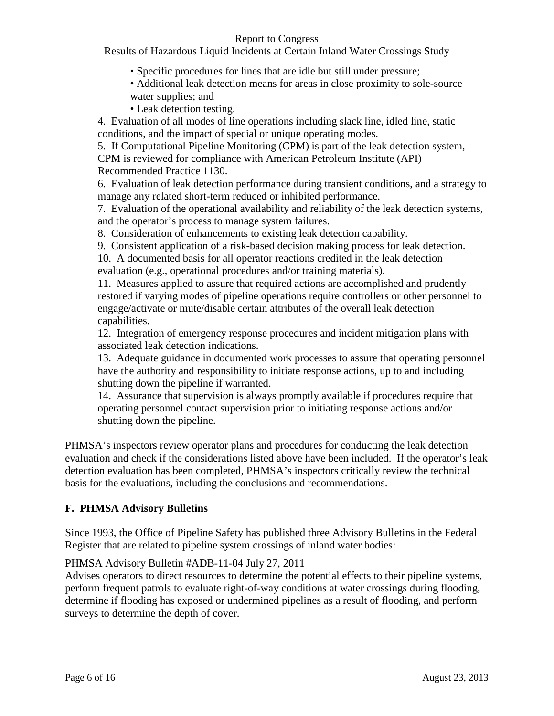Results of Hazardous Liquid Incidents at Certain Inland Water Crossings Study

- Specific procedures for lines that are idle but still under pressure;
- Additional leak detection means for areas in close proximity to sole-source water supplies; and
- Leak detection testing.

4. Evaluation of all modes of line operations including slack line, idled line, static conditions, and the impact of special or unique operating modes.

5. If Computational Pipeline Monitoring (CPM) is part of the leak detection system, CPM is reviewed for compliance with American Petroleum Institute (API) Recommended Practice 1130.

6. Evaluation of leak detection performance during transient conditions, and a strategy to manage any related short-term reduced or inhibited performance.

7. Evaluation of the operational availability and reliability of the leak detection systems, and the operator's process to manage system failures.

8. Consideration of enhancements to existing leak detection capability.

9. Consistent application of a risk-based decision making process for leak detection.

10. A documented basis for all operator reactions credited in the leak detection evaluation (e.g., operational procedures and/or training materials).

11. Measures applied to assure that required actions are accomplished and prudently restored if varying modes of pipeline operations require controllers or other personnel to engage/activate or mute/disable certain attributes of the overall leak detection capabilities.

12. Integration of emergency response procedures and incident mitigation plans with associated leak detection indications.

13. Adequate guidance in documented work processes to assure that operating personnel have the authority and responsibility to initiate response actions, up to and including shutting down the pipeline if warranted.

14. Assurance that supervision is always promptly available if procedures require that operating personnel contact supervision prior to initiating response actions and/or shutting down the pipeline.

PHMSA's inspectors review operator plans and procedures for conducting the leak detection evaluation and check if the considerations listed above have been included. If the operator's leak detection evaluation has been completed, PHMSA's inspectors critically review the technical basis for the evaluations, including the conclusions and recommendations.

## **F. PHMSA Advisory Bulletins**

Since 1993, the Office of Pipeline Safety has published three Advisory Bulletins in the Federal Register that are related to pipeline system crossings of inland water bodies:

## PHMSA Advisory Bulletin #ADB-11-04 July 27, 2011

Advises operators to direct resources to determine the potential effects to their pipeline systems, perform frequent patrols to evaluate right-of-way conditions at water crossings during flooding, determine if flooding has exposed or undermined pipelines as a result of flooding, and perform surveys to determine the depth of cover.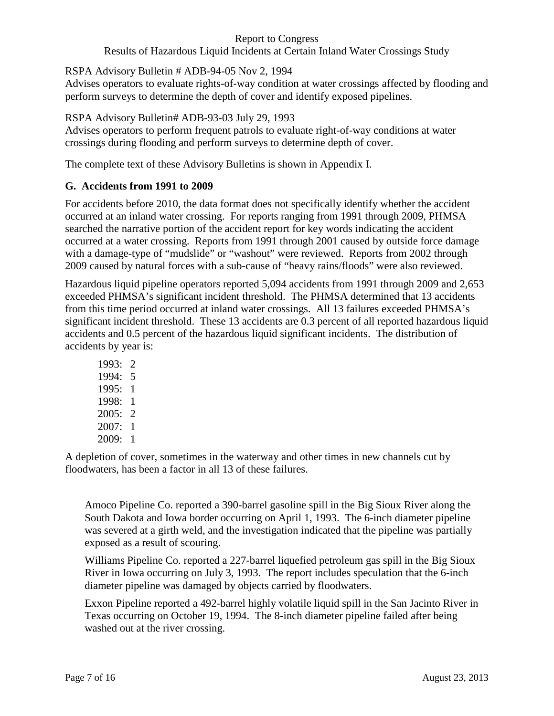## Results of Hazardous Liquid Incidents at Certain Inland Water Crossings Study

RSPA Advisory Bulletin # ADB-94-05 Nov 2, 1994

Advises operators to evaluate rights-of-way condition at water crossings affected by flooding and perform surveys to determine the depth of cover and identify exposed pipelines.

RSPA Advisory Bulletin# ADB-93-03 July 29, 1993

Advises operators to perform frequent patrols to evaluate right-of-way conditions at water crossings during flooding and perform surveys to determine depth of cover.

The complete text of these Advisory Bulletins is shown in Appendix I.

# **G. Accidents from 1991 to 2009**

For accidents before 2010, the data format does not specifically identify whether the accident occurred at an inland water crossing. For reports ranging from 1991 through 2009, PHMSA searched the narrative portion of the accident report for key words indicating the accident occurred at a water crossing. Reports from 1991 through 2001 caused by outside force damage with a damage-type of "mudslide" or "washout" were reviewed. Reports from 2002 through 2009 caused by natural forces with a sub-cause of "heavy rains/floods" were also reviewed.

Hazardous liquid pipeline operators reported 5,094 accidents from 1991 through 2009 and 2,653 exceeded PHMSA's significant incident threshold. The PHMSA determined that 13 accidents from this time period occurred at inland water crossings. All 13 failures exceeded PHMSA's significant incident threshold. These 13 accidents are 0.3 percent of all reported hazardous liquid accidents and 0.5 percent of the hazardous liquid significant incidents. The distribution of accidents by year is:

1993: 2 1994: 5 1995: 1 1998: 1 2005: 2 2007: 1 2009: 1

A depletion of cover, sometimes in the waterway and other times in new channels cut by floodwaters, has been a factor in all 13 of these failures.

Amoco Pipeline Co. reported a 390-barrel gasoline spill in the Big Sioux River along the South Dakota and Iowa border occurring on April 1, 1993. The 6-inch diameter pipeline was severed at a girth weld, and the investigation indicated that the pipeline was partially exposed as a result of scouring.

Williams Pipeline Co. reported a 227-barrel liquefied petroleum gas spill in the Big Sioux River in Iowa occurring on July 3, 1993. The report includes speculation that the 6-inch diameter pipeline was damaged by objects carried by floodwaters.

Exxon Pipeline reported a 492-barrel highly volatile liquid spill in the San Jacinto River in Texas occurring on October 19, 1994. The 8-inch diameter pipeline failed after being washed out at the river crossing.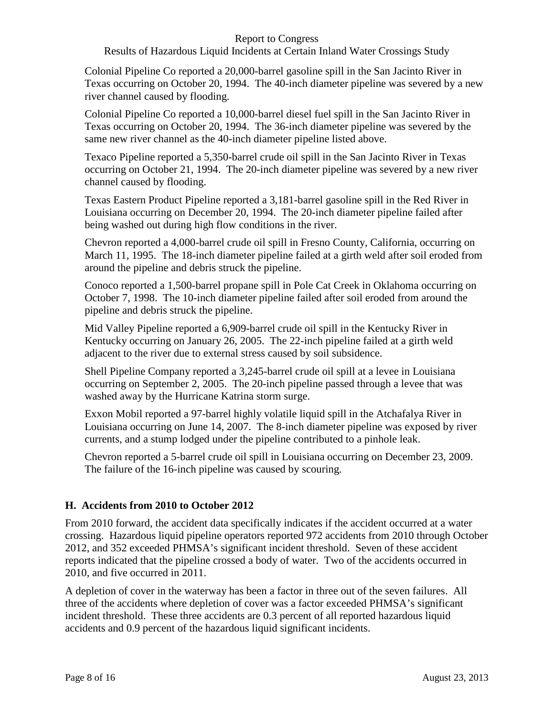#### Results of Hazardous Liquid Incidents at Certain Inland Water Crossings Study

Colonial Pipeline Co reported a 20,000-barrel gasoline spill in the San Jacinto River in Texas occurring on October 20, 1994. The 40-inch diameter pipeline was severed by a new river channel caused by flooding.

Colonial Pipeline Co reported a 10,000-barrel diesel fuel spill in the San Jacinto River in Texas occurring on October 20, 1994. The 36-inch diameter pipeline was severed by the same new river channel as the 40-inch diameter pipeline listed above.

Texaco Pipeline reported a 5,350-barrel crude oil spill in the San Jacinto River in Texas occurring on October 21, 1994. The 20-inch diameter pipeline was severed by a new river channel caused by flooding.

Texas Eastern Product Pipeline reported a 3,181-barrel gasoline spill in the Red River in Louisiana occurring on December 20, 1994. The 20-inch diameter pipeline failed after being washed out during high flow conditions in the river.

Chevron reported a 4,000-barrel crude oil spill in Fresno County, California, occurring on March 11, 1995. The 18-inch diameter pipeline failed at a girth weld after soil eroded from around the pipeline and debris struck the pipeline.

Conoco reported a 1,500-barrel propane spill in Pole Cat Creek in Oklahoma occurring on October 7, 1998. The 10-inch diameter pipeline failed after soil eroded from around the pipeline and debris struck the pipeline.

Mid Valley Pipeline reported a 6,909-barrel crude oil spill in the Kentucky River in Kentucky occurring on January 26, 2005. The 22-inch pipeline failed at a girth weld adjacent to the river due to external stress caused by soil subsidence.

Shell Pipeline Company reported a 3,245-barrel crude oil spill at a levee in Louisiana occurring on September 2, 2005. The 20-inch pipeline passed through a levee that was washed away by the Hurricane Katrina storm surge.

Exxon Mobil reported a 97-barrel highly volatile liquid spill in the Atchafalya River in Louisiana occurring on June 14, 2007. The 8-inch diameter pipeline was exposed by river currents, and a stump lodged under the pipeline contributed to a pinhole leak.

Chevron reported a 5-barrel crude oil spill in Louisiana occurring on December 23, 2009. The failure of the 16-inch pipeline was caused by scouring.

## **H. Accidents from 2010 to October 2012**

From 2010 forward, the accident data specifically indicates if the accident occurred at a water crossing. Hazardous liquid pipeline operators reported 972 accidents from 2010 through October 2012, and 352 exceeded PHMSA's significant incident threshold. Seven of these accident reports indicated that the pipeline crossed a body of water. Two of the accidents occurred in 2010, and five occurred in 2011.

A depletion of cover in the waterway has been a factor in three out of the seven failures. All three of the accidents where depletion of cover was a factor exceeded PHMSA's significant incident threshold. These three accidents are 0.3 percent of all reported hazardous liquid accidents and 0.9 percent of the hazardous liquid significant incidents.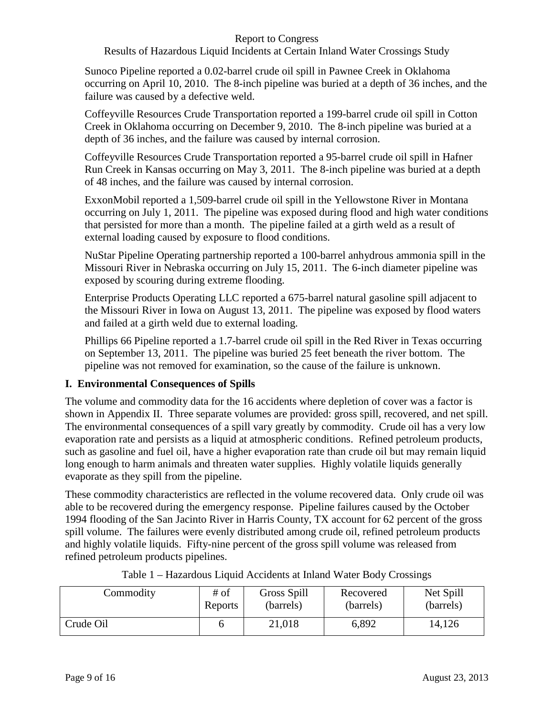#### Results of Hazardous Liquid Incidents at Certain Inland Water Crossings Study

Sunoco Pipeline reported a 0.02-barrel crude oil spill in Pawnee Creek in Oklahoma occurring on April 10, 2010. The 8-inch pipeline was buried at a depth of 36 inches, and the failure was caused by a defective weld.

Coffeyville Resources Crude Transportation reported a 199-barrel crude oil spill in Cotton Creek in Oklahoma occurring on December 9, 2010. The 8-inch pipeline was buried at a depth of 36 inches, and the failure was caused by internal corrosion.

Coffeyville Resources Crude Transportation reported a 95-barrel crude oil spill in Hafner Run Creek in Kansas occurring on May 3, 2011. The 8-inch pipeline was buried at a depth of 48 inches, and the failure was caused by internal corrosion.

ExxonMobil reported a 1,509-barrel crude oil spill in the Yellowstone River in Montana occurring on July 1, 2011. The pipeline was exposed during flood and high water conditions that persisted for more than a month. The pipeline failed at a girth weld as a result of external loading caused by exposure to flood conditions.

NuStar Pipeline Operating partnership reported a 100-barrel anhydrous ammonia spill in the Missouri River in Nebraska occurring on July 15, 2011. The 6-inch diameter pipeline was exposed by scouring during extreme flooding.

Enterprise Products Operating LLC reported a 675-barrel natural gasoline spill adjacent to the Missouri River in Iowa on August 13, 2011. The pipeline was exposed by flood waters and failed at a girth weld due to external loading.

Phillips 66 Pipeline reported a 1.7-barrel crude oil spill in the Red River in Texas occurring on September 13, 2011. The pipeline was buried 25 feet beneath the river bottom. The pipeline was not removed for examination, so the cause of the failure is unknown.

## **I. Environmental Consequences of Spills**

The volume and commodity data for the 16 accidents where depletion of cover was a factor is shown in Appendix II. Three separate volumes are provided: gross spill, recovered, and net spill. The environmental consequences of a spill vary greatly by commodity. Crude oil has a very low evaporation rate and persists as a liquid at atmospheric conditions. Refined petroleum products, such as gasoline and fuel oil, have a higher evaporation rate than crude oil but may remain liquid long enough to harm animals and threaten water supplies. Highly volatile liquids generally evaporate as they spill from the pipeline.

These commodity characteristics are reflected in the volume recovered data. Only crude oil was able to be recovered during the emergency response. Pipeline failures caused by the October 1994 flooding of the San Jacinto River in Harris County, TX account for 62 percent of the gross spill volume. The failures were evenly distributed among crude oil, refined petroleum products and highly volatile liquids. Fifty-nine percent of the gross spill volume was released from refined petroleum products pipelines.

| Commodity | # of    | Gross Spill | Recovered | Net Spill |
|-----------|---------|-------------|-----------|-----------|
|           | Reports | (barrels)   | (barrels) | (barrels) |
| Crude Oil |         | 21,018      | 6,892     | 14,126    |

|  |  |  |  | Table 1 - Hazardous Liquid Accidents at Inland Water Body Crossings |
|--|--|--|--|---------------------------------------------------------------------|
|  |  |  |  |                                                                     |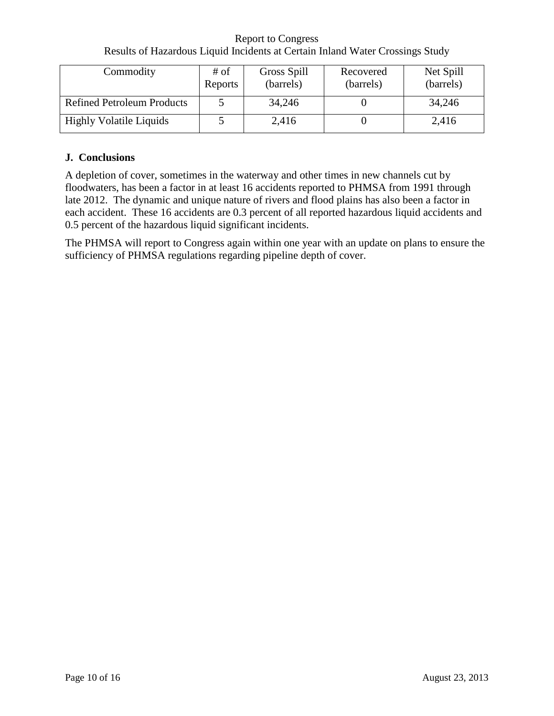Report to Congress Results of Hazardous Liquid Incidents at Certain Inland Water Crossings Study

| Commodity                         | # of<br>Reports | Gross Spill<br>(barrels) | Recovered<br>(barrels) | Net Spill<br>(barrels) |
|-----------------------------------|-----------------|--------------------------|------------------------|------------------------|
| <b>Refined Petroleum Products</b> |                 | 34,246                   |                        | 34,246                 |
| <b>Highly Volatile Liquids</b>    |                 | 2,416                    |                        | 2,416                  |

## **J. Conclusions**

A depletion of cover, sometimes in the waterway and other times in new channels cut by floodwaters, has been a factor in at least 16 accidents reported to PHMSA from 1991 through late 2012. The dynamic and unique nature of rivers and flood plains has also been a factor in each accident. These 16 accidents are 0.3 percent of all reported hazardous liquid accidents and 0.5 percent of the hazardous liquid significant incidents.

The PHMSA will report to Congress again within one year with an update on plans to ensure the sufficiency of PHMSA regulations regarding pipeline depth of cover.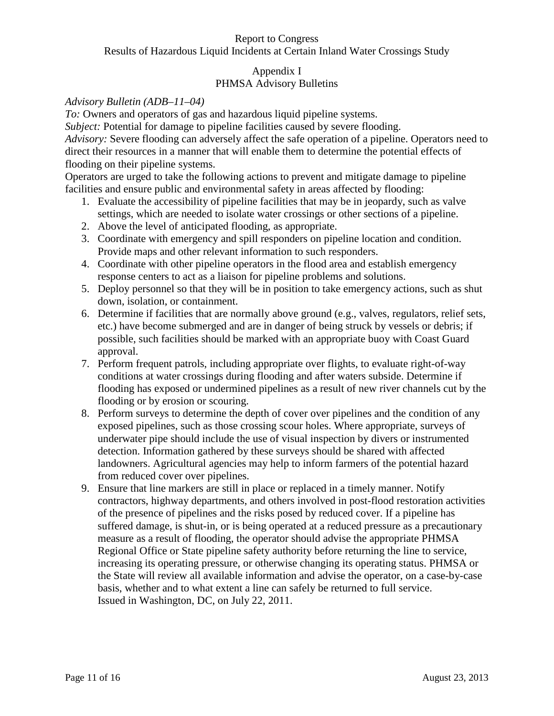## Appendix I PHMSA Advisory Bulletins

#### *Advisory Bulletin (ADB–11–04)*

*To:* Owners and operators of gas and hazardous liquid pipeline systems.

*Subject:* Potential for damage to pipeline facilities caused by severe flooding.

*Advisory:* Severe flooding can adversely affect the safe operation of a pipeline. Operators need to direct their resources in a manner that will enable them to determine the potential effects of flooding on their pipeline systems.

Operators are urged to take the following actions to prevent and mitigate damage to pipeline facilities and ensure public and environmental safety in areas affected by flooding:

- 1. Evaluate the accessibility of pipeline facilities that may be in jeopardy, such as valve settings, which are needed to isolate water crossings or other sections of a pipeline.
- 2. Above the level of anticipated flooding, as appropriate.
- 3. Coordinate with emergency and spill responders on pipeline location and condition. Provide maps and other relevant information to such responders.
- 4. Coordinate with other pipeline operators in the flood area and establish emergency response centers to act as a liaison for pipeline problems and solutions.
- 5. Deploy personnel so that they will be in position to take emergency actions, such as shut down, isolation, or containment.
- 6. Determine if facilities that are normally above ground (e.g., valves, regulators, relief sets, etc.) have become submerged and are in danger of being struck by vessels or debris; if possible, such facilities should be marked with an appropriate buoy with Coast Guard approval.
- 7. Perform frequent patrols, including appropriate over flights, to evaluate right-of-way conditions at water crossings during flooding and after waters subside. Determine if flooding has exposed or undermined pipelines as a result of new river channels cut by the flooding or by erosion or scouring.
- 8. Perform surveys to determine the depth of cover over pipelines and the condition of any exposed pipelines, such as those crossing scour holes. Where appropriate, surveys of underwater pipe should include the use of visual inspection by divers or instrumented detection. Information gathered by these surveys should be shared with affected landowners. Agricultural agencies may help to inform farmers of the potential hazard from reduced cover over pipelines.
- 9. Ensure that line markers are still in place or replaced in a timely manner. Notify contractors, highway departments, and others involved in post-flood restoration activities of the presence of pipelines and the risks posed by reduced cover. If a pipeline has suffered damage, is shut-in, or is being operated at a reduced pressure as a precautionary measure as a result of flooding, the operator should advise the appropriate PHMSA Regional Office or State pipeline safety authority before returning the line to service, increasing its operating pressure, or otherwise changing its operating status. PHMSA or the State will review all available information and advise the operator, on a case-by-case basis, whether and to what extent a line can safely be returned to full service. Issued in Washington, DC, on July 22, 2011.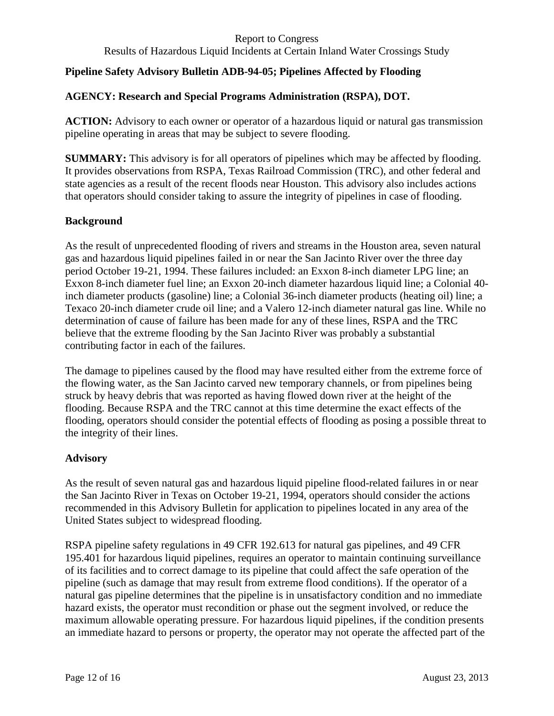Results of Hazardous Liquid Incidents at Certain Inland Water Crossings Study

## **Pipeline Safety Advisory Bulletin ADB-94-05; Pipelines Affected by Flooding**

## **AGENCY: Research and Special Programs Administration (RSPA), DOT.**

**ACTION:** Advisory to each owner or operator of a hazardous liquid or natural gas transmission pipeline operating in areas that may be subject to severe flooding.

**SUMMARY:** This advisory is for all operators of pipelines which may be affected by flooding. It provides observations from RSPA, Texas Railroad Commission (TRC), and other federal and state agencies as a result of the recent floods near Houston. This advisory also includes actions that operators should consider taking to assure the integrity of pipelines in case of flooding.

#### **Background**

As the result of unprecedented flooding of rivers and streams in the Houston area, seven natural gas and hazardous liquid pipelines failed in or near the San Jacinto River over the three day period October 19-21, 1994. These failures included: an Exxon 8-inch diameter LPG line; an Exxon 8-inch diameter fuel line; an Exxon 20-inch diameter hazardous liquid line; a Colonial 40 inch diameter products (gasoline) line; a Colonial 36-inch diameter products (heating oil) line; a Texaco 20-inch diameter crude oil line; and a Valero 12-inch diameter natural gas line. While no determination of cause of failure has been made for any of these lines, RSPA and the TRC believe that the extreme flooding by the San Jacinto River was probably a substantial contributing factor in each of the failures.

The damage to pipelines caused by the flood may have resulted either from the extreme force of the flowing water, as the San Jacinto carved new temporary channels, or from pipelines being struck by heavy debris that was reported as having flowed down river at the height of the flooding. Because RSPA and the TRC cannot at this time determine the exact effects of the flooding, operators should consider the potential effects of flooding as posing a possible threat to the integrity of their lines.

## **Advisory**

As the result of seven natural gas and hazardous liquid pipeline flood-related failures in or near the San Jacinto River in Texas on October 19-21, 1994, operators should consider the actions recommended in this Advisory Bulletin for application to pipelines located in any area of the United States subject to widespread flooding.

RSPA pipeline safety regulations in 49 CFR 192.613 for natural gas pipelines, and 49 CFR 195.401 for hazardous liquid pipelines, requires an operator to maintain continuing surveillance of its facilities and to correct damage to its pipeline that could affect the safe operation of the pipeline (such as damage that may result from extreme flood conditions). If the operator of a natural gas pipeline determines that the pipeline is in unsatisfactory condition and no immediate hazard exists, the operator must recondition or phase out the segment involved, or reduce the maximum allowable operating pressure. For hazardous liquid pipelines, if the condition presents an immediate hazard to persons or property, the operator may not operate the affected part of the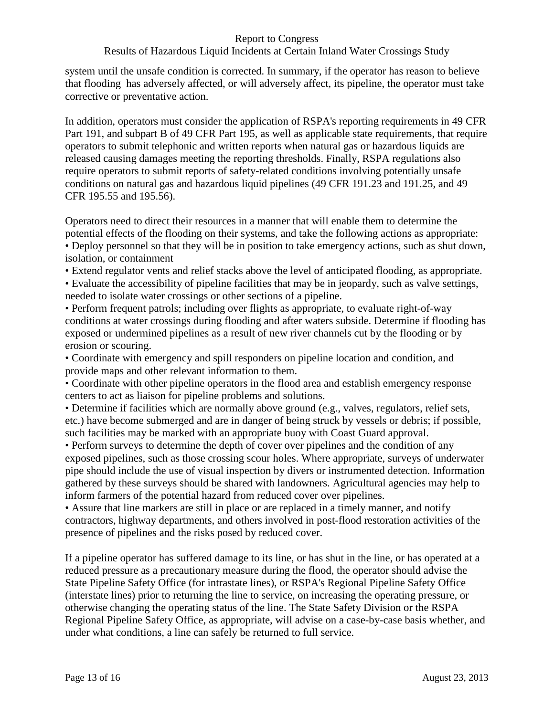## Results of Hazardous Liquid Incidents at Certain Inland Water Crossings Study

system until the unsafe condition is corrected. In summary, if the operator has reason to believe that flooding has adversely affected, or will adversely affect, its pipeline, the operator must take corrective or preventative action.

In addition, operators must consider the application of RSPA's reporting requirements in 49 CFR Part 191, and subpart B of 49 CFR Part 195, as well as applicable state requirements, that require operators to submit telephonic and written reports when natural gas or hazardous liquids are released causing damages meeting the reporting thresholds. Finally, RSPA regulations also require operators to submit reports of safety-related conditions involving potentially unsafe conditions on natural gas and hazardous liquid pipelines (49 CFR 191.23 and 191.25, and 49 CFR 195.55 and 195.56).

Operators need to direct their resources in a manner that will enable them to determine the potential effects of the flooding on their systems, and take the following actions as appropriate: • Deploy personnel so that they will be in position to take emergency actions, such as shut down, isolation, or containment

• Extend regulator vents and relief stacks above the level of anticipated flooding, as appropriate.

• Evaluate the accessibility of pipeline facilities that may be in jeopardy, such as valve settings, needed to isolate water crossings or other sections of a pipeline.

• Perform frequent patrols; including over flights as appropriate, to evaluate right-of-way conditions at water crossings during flooding and after waters subside. Determine if flooding has exposed or undermined pipelines as a result of new river channels cut by the flooding or by erosion or scouring.

• Coordinate with emergency and spill responders on pipeline location and condition, and provide maps and other relevant information to them.

• Coordinate with other pipeline operators in the flood area and establish emergency response centers to act as liaison for pipeline problems and solutions.

• Determine if facilities which are normally above ground (e.g., valves, regulators, relief sets, etc.) have become submerged and are in danger of being struck by vessels or debris; if possible, such facilities may be marked with an appropriate buoy with Coast Guard approval.

• Perform surveys to determine the depth of cover over pipelines and the condition of any exposed pipelines, such as those crossing scour holes. Where appropriate, surveys of underwater pipe should include the use of visual inspection by divers or instrumented detection. Information gathered by these surveys should be shared with landowners. Agricultural agencies may help to inform farmers of the potential hazard from reduced cover over pipelines.

• Assure that line markers are still in place or are replaced in a timely manner, and notify contractors, highway departments, and others involved in post-flood restoration activities of the presence of pipelines and the risks posed by reduced cover.

If a pipeline operator has suffered damage to its line, or has shut in the line, or has operated at a reduced pressure as a precautionary measure during the flood, the operator should advise the State Pipeline Safety Office (for intrastate lines), or RSPA's Regional Pipeline Safety Office (interstate lines) prior to returning the line to service, on increasing the operating pressure, or otherwise changing the operating status of the line. The State Safety Division or the RSPA Regional Pipeline Safety Office, as appropriate, will advise on a case-by-case basis whether, and under what conditions, a line can safely be returned to full service.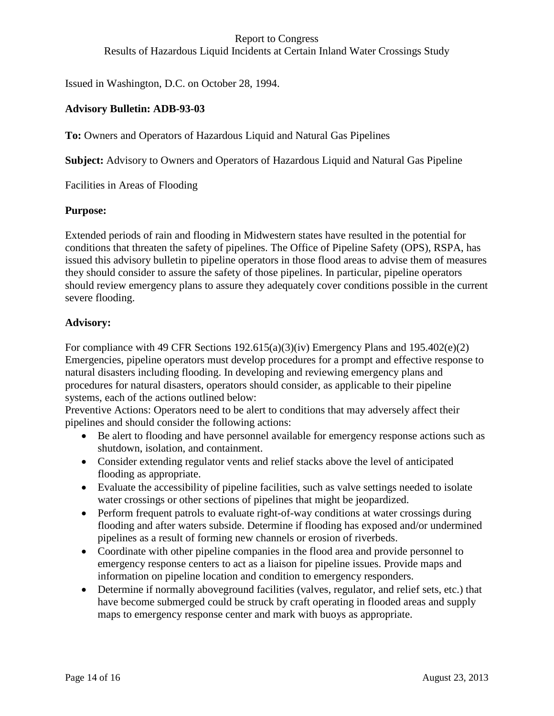Results of Hazardous Liquid Incidents at Certain Inland Water Crossings Study

Issued in Washington, D.C. on October 28, 1994.

#### **Advisory Bulletin: ADB-93-03**

**To:** Owners and Operators of Hazardous Liquid and Natural Gas Pipelines

**Subject:** Advisory to Owners and Operators of Hazardous Liquid and Natural Gas Pipeline

Facilities in Areas of Flooding

#### **Purpose:**

Extended periods of rain and flooding in Midwestern states have resulted in the potential for conditions that threaten the safety of pipelines. The Office of Pipeline Safety (OPS), RSPA, has issued this advisory bulletin to pipeline operators in those flood areas to advise them of measures they should consider to assure the safety of those pipelines. In particular, pipeline operators should review emergency plans to assure they adequately cover conditions possible in the current severe flooding.

#### **Advisory:**

For compliance with 49 CFR Sections  $192.615(a)(3)(iv)$  Emergency Plans and  $195.402(e)(2)$ Emergencies, pipeline operators must develop procedures for a prompt and effective response to natural disasters including flooding. In developing and reviewing emergency plans and procedures for natural disasters, operators should consider, as applicable to their pipeline systems, each of the actions outlined below:

Preventive Actions: Operators need to be alert to conditions that may adversely affect their pipelines and should consider the following actions:

- Be alert to flooding and have personnel available for emergency response actions such as shutdown, isolation, and containment.
- Consider extending regulator vents and relief stacks above the level of anticipated flooding as appropriate.
- Evaluate the accessibility of pipeline facilities, such as valve settings needed to isolate water crossings or other sections of pipelines that might be jeopardized.
- Perform frequent patrols to evaluate right-of-way conditions at water crossings during flooding and after waters subside. Determine if flooding has exposed and/or undermined pipelines as a result of forming new channels or erosion of riverbeds.
- Coordinate with other pipeline companies in the flood area and provide personnel to emergency response centers to act as a liaison for pipeline issues. Provide maps and information on pipeline location and condition to emergency responders.
- Determine if normally aboveground facilities (valves, regulator, and relief sets, etc.) that have become submerged could be struck by craft operating in flooded areas and supply maps to emergency response center and mark with buoys as appropriate.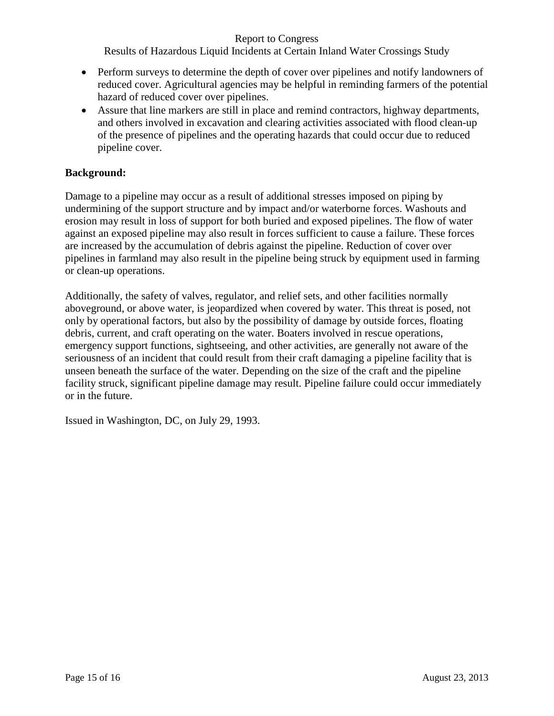Results of Hazardous Liquid Incidents at Certain Inland Water Crossings Study

- Perform surveys to determine the depth of cover over pipelines and notify landowners of reduced cover. Agricultural agencies may be helpful in reminding farmers of the potential hazard of reduced cover over pipelines.
- Assure that line markers are still in place and remind contractors, highway departments, and others involved in excavation and clearing activities associated with flood clean-up of the presence of pipelines and the operating hazards that could occur due to reduced pipeline cover.

#### **Background:**

Damage to a pipeline may occur as a result of additional stresses imposed on piping by undermining of the support structure and by impact and/or waterborne forces. Washouts and erosion may result in loss of support for both buried and exposed pipelines. The flow of water against an exposed pipeline may also result in forces sufficient to cause a failure. These forces are increased by the accumulation of debris against the pipeline. Reduction of cover over pipelines in farmland may also result in the pipeline being struck by equipment used in farming or clean-up operations.

Additionally, the safety of valves, regulator, and relief sets, and other facilities normally aboveground, or above water, is jeopardized when covered by water. This threat is posed, not only by operational factors, but also by the possibility of damage by outside forces, floating debris, current, and craft operating on the water. Boaters involved in rescue operations, emergency support functions, sightseeing, and other activities, are generally not aware of the seriousness of an incident that could result from their craft damaging a pipeline facility that is unseen beneath the surface of the water. Depending on the size of the craft and the pipeline facility struck, significant pipeline damage may result. Pipeline failure could occur immediately or in the future.

Issued in Washington, DC, on July 29, 1993.